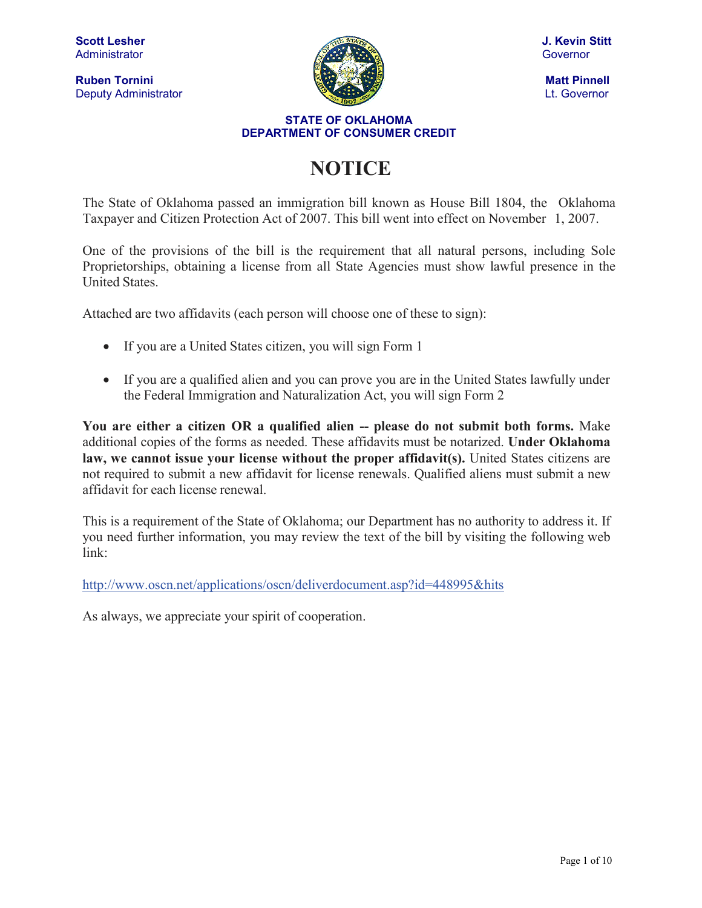**Ruben Tornini** Matt Pinnell Matt Pinnell Matt Pinnell Matt Pinnell Matt Pinnell Matt Pinnell Matt Pinnell Matt Pinnell Deputy Administrator **Let. Governor Let. Governor Let. Governor** 



**STATE OF OKLAHOMA DEPARTMENT OF CONSUMER CREDIT**

# **NOTICE**

The State of Oklahoma passed an immigration bill known as House Bill 1804, the Oklahoma Taxpayer and Citizen Protection Act of 2007. This bill went into effect on November 1, 2007.

One of the provisions of the bill is the requirement that all natural persons, including Sole Proprietorships, obtaining a license from all State Agencies must show lawful presence in the United States.

Attached are two affidavits (each person will choose one of these to sign):

- If you are a United States citizen, you will sign Form 1
- If you are a qualified alien and you can prove you are in the United States lawfully under the Federal Immigration and Naturalization Act, you will sign Form 2

**You are either a citizen OR a qualified alien -- please do not submit both forms.** Make additional copies of the forms as needed. These affidavits must be notarized. **Under Oklahoma law, we cannot issue your license without the proper affidavit(s).** United States citizens are not required to submit a new affidavit for license renewals. Qualified aliens must submit a new affidavit for each license renewal.

This is a requirement of the State of Oklahoma; our Department has no authority to address it. If you need further information, you may review the text of the bill by visiting the following web link:

<http://www.oscn.net/applications/oscn/deliverdocument.asp?id=448995&hits>

As always, we appreciate your spirit of cooperation.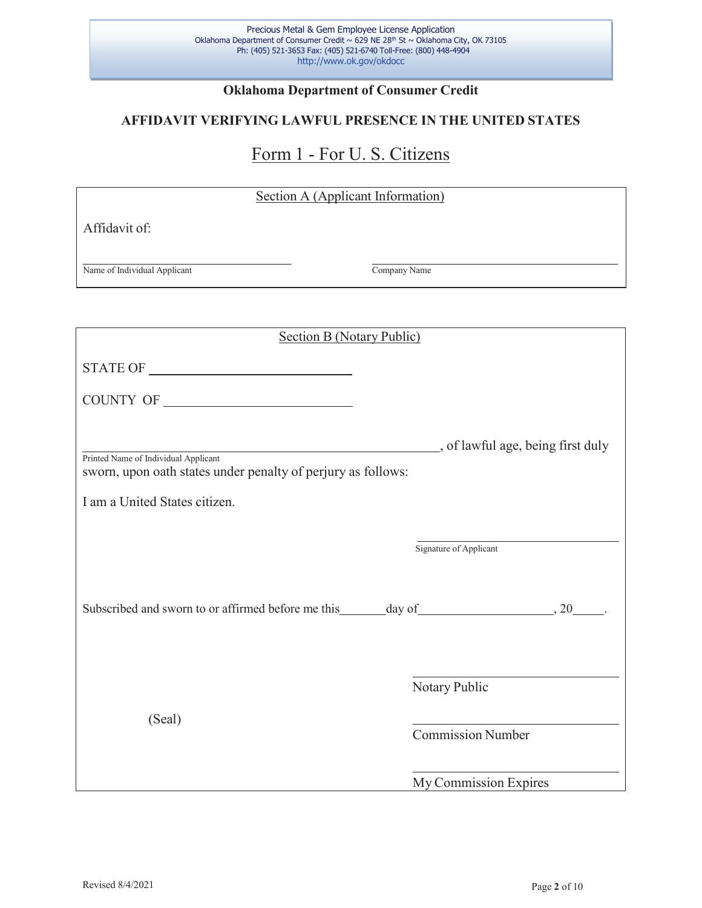#### Precious Metal & Gem Employee License Application Oklahoma Department of Consumer Credit  $\sim$  629 NE 28<sup>th</sup> St  $\sim$  Oklahoma City, OK 73105 Ph: (405) 521-3653 Fax: (405) 521-6740 Toll-Free: (800) 448-4904 <http://www.ok.gov/okdocc>

#### **Oklahoma Department of Consumer Credit**

### **AFFIDAVIT VERIFYING LAWFUL PRESENCE IN THE UNITED STATES**

# Form 1 - For U. S. Citizens

| Section A (Applicant Information)                                                                                                                 |                          |  |
|---------------------------------------------------------------------------------------------------------------------------------------------------|--------------------------|--|
| Affidavit of:                                                                                                                                     |                          |  |
| Name of Individual Applicant                                                                                                                      | Company Name             |  |
|                                                                                                                                                   |                          |  |
| <b>Section B (Notary Public)</b>                                                                                                                  |                          |  |
|                                                                                                                                                   |                          |  |
|                                                                                                                                                   |                          |  |
|                                                                                                                                                   |                          |  |
|                                                                                                                                                   |                          |  |
| ________, of lawful age, being first duly<br>Printed Name of Individual Applicant<br>sworn, upon oath states under penalty of perjury as follows: |                          |  |
| I am a United States citizen.                                                                                                                     |                          |  |
|                                                                                                                                                   |                          |  |
|                                                                                                                                                   | Signature of Applicant   |  |
|                                                                                                                                                   |                          |  |
|                                                                                                                                                   |                          |  |
|                                                                                                                                                   |                          |  |
|                                                                                                                                                   |                          |  |
|                                                                                                                                                   | Notary Public            |  |
| (Seal)                                                                                                                                            | <b>Commission Number</b> |  |
|                                                                                                                                                   | My Commission Expires    |  |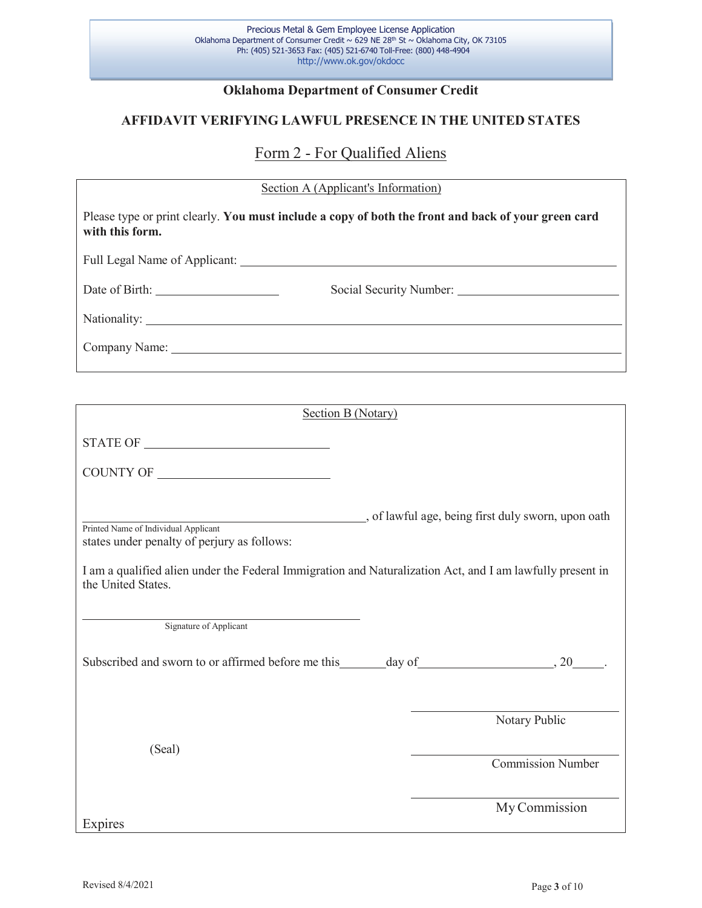#### Precious Metal & Gem Employee License Application Oklahoma Department of Consumer Credit  $\sim$  629 NE 28<sup>th</sup> St  $\sim$  Oklahoma City, OK 73105 Ph: (405) 521-3653 Fax: (405) 521-6740 Toll-Free: (800) 448-4904 <http://www.ok.gov/okdocc>

#### **Oklahoma Department of Consumer Credit**

#### **AFFIDAVIT VERIFYING LAWFUL PRESENCE IN THE UNITED STATES**

## Form 2 - For Qualified Aliens

#### Section A (Applicant's Information)

| Please type or print clearly. You must include a copy of both the front and back of your green card<br>with this form.                                                                                                               |                                                                                |
|--------------------------------------------------------------------------------------------------------------------------------------------------------------------------------------------------------------------------------------|--------------------------------------------------------------------------------|
|                                                                                                                                                                                                                                      |                                                                                |
|                                                                                                                                                                                                                                      |                                                                                |
|                                                                                                                                                                                                                                      |                                                                                |
| Company Name: <u>New York: New York: New York: New York: New York: New York: New York: New York: New York: New York: New York: New York: New York: New York: New York: New York: New York: New York: New York: New York: New Yor</u> |                                                                                |
|                                                                                                                                                                                                                                      |                                                                                |
| Section B (Notary)                                                                                                                                                                                                                   |                                                                                |
| $\begin{tabular}{c} \bf STATE OF \end{tabular}$                                                                                                                                                                                      |                                                                                |
| $\begin{tabular}{c} \textbf{COUNTY OF} \end{tabular}$                                                                                                                                                                                |                                                                                |
| Printed Name of Individual Applicant<br>states under penalty of perjury as follows:<br>I am a qualified alien under the Federal Immigration and Naturalization Act, and I am lawfully present in<br>the United States.               | ____________________________, of lawful age, being first duly sworn, upon oath |
| Signature of Applicant                                                                                                                                                                                                               |                                                                                |
|                                                                                                                                                                                                                                      |                                                                                |
|                                                                                                                                                                                                                                      | Notary Public                                                                  |
| (Seal)                                                                                                                                                                                                                               | <b>Commission Number</b>                                                       |
| Expires                                                                                                                                                                                                                              | My Commission                                                                  |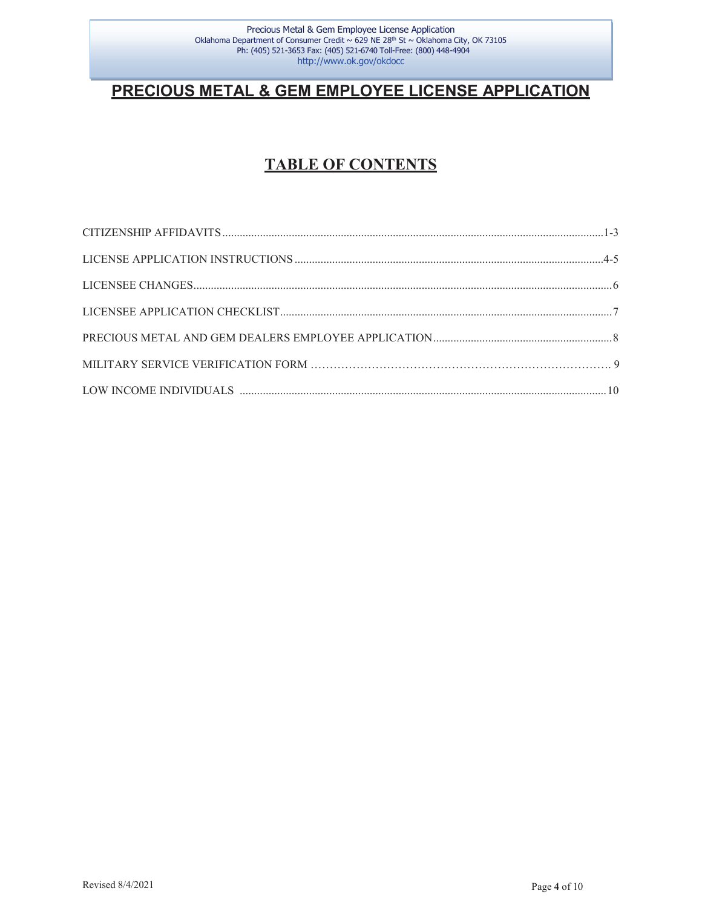#### Precious Metal & Gem Employee License Application Oklahoma Department of Consumer Credit  $\sim$  629 NE 28<sup>th</sup> St  $\sim$  Oklahoma City, OK 73105 Ph: (405) 521-3653 Fax: (405) 521-6740 Toll-Free: (800) 448-4904 <http://www.ok.gov/okdocc>

## **PRECIOUS METAL & GEM EMPLOYEE LICENSE APPLICATION**

## **TABLE OF CONTENTS**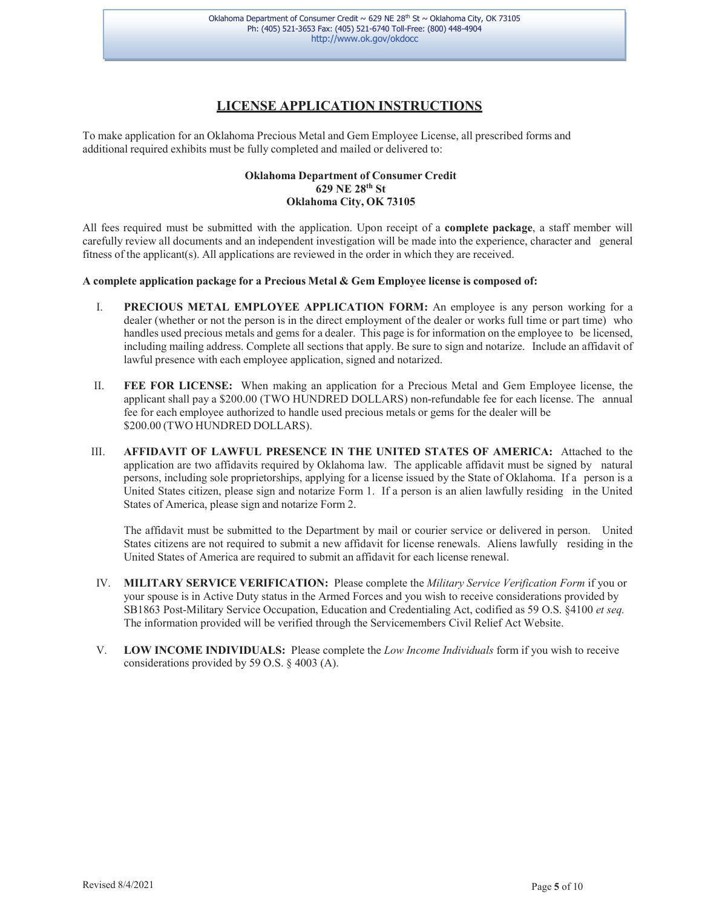### **LICENSE APPLICATION INSTRUCTIONS**

<span id="page-4-0"></span>To make application for an Oklahoma Precious Metal and Gem Employee License, all prescribed forms and additional required exhibits must be fully completed and mailed or delivered to:

#### **Oklahoma Department of Consumer Credit 629 NE 28th St Oklahoma City, OK 73105**

All fees required must be submitted with the application. Upon receipt of a **complete package**, a staff member will carefully review all documents and an independent investigation will be made into the experience, character and general fitness of the applicant(s). All applications are reviewed in the order in which they are received.

#### **A complete application package for a Precious Metal & Gem Employee license is composed of:**

- I. **PRECIOUS METAL EMPLOYEE APPLICATION FORM:** An employee is any person working for a dealer (whether or not the person is in the direct employment of the dealer or works full time or part time) who handles used precious metals and gems for a dealer. This page is for information on the employee to be licensed, including mailing address. Complete all sections that apply. Be sure to sign and notarize. Include an affidavit of lawful presence with each employee application, signed and notarized.
- II. **FEE FOR LICENSE:** When making an application for a Precious Metal and Gem Employee license, the applicant shall pay a \$200.00 (TWO HUNDRED DOLLARS) non-refundable fee for each license. The annual fee for each employee authorized to handle used precious metals or gems for the dealer will be \$200.00 (TWO HUNDRED DOLLARS).
- III. **AFFIDAVIT OF LAWFUL PRESENCE IN THE UNITED STATES OF AMERICA:** Attached to the application are two affidavits required by Oklahoma law. The applicable affidavit must be signed by natural persons, including sole proprietorships, applying for a license issued by the State of Oklahoma. If a person is a United States citizen, please sign and notarize Form 1. If a person is an alien lawfully residing in the United States of America, please sign and notarize Form 2.

The affidavit must be submitted to the Department by mail or courier service or delivered in person. United States citizens are not required to submit a new affidavit for license renewals. Aliens lawfully residing in the United States of America are required to submit an affidavit for each license renewal.

- IV. **MILITARY SERVICE VERIFICATION:** Please complete the *Military Service Verification Form* if you or your spouse is in Active Duty status in the Armed Forces and you wish to receive considerations provided by SB1863 Post-Military Service Occupation, Education and Credentialing Act, codified as 59 O.S. §4100 *et seq.* The information provided will be verified through the Servicemembers Civil Relief Act Website.
- V. **LOW INCOME INDIVIDUALS:** Please complete the *Low Income Individuals* form if you wish to receive considerations provided by 59 O.S. § 4003 (A).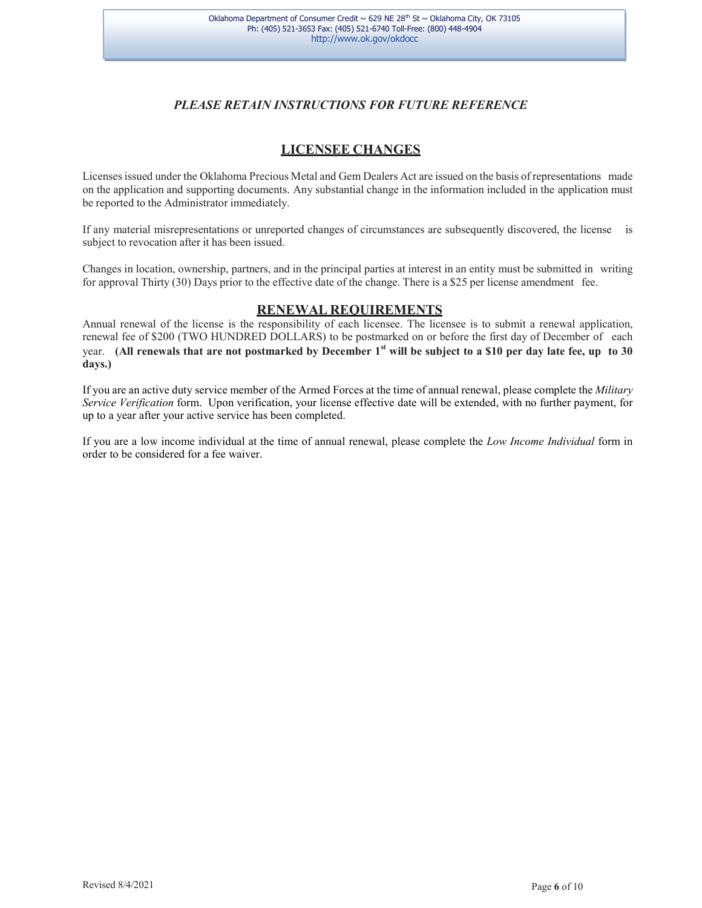#### *PLEASE RETAIN INSTRUCTIONS FOR FUTURE REFERENCE*

#### **LICENSEE CHANGES**

<span id="page-5-0"></span>Licensesissued under the Oklahoma Precious Metal and Gem Dealers Act are issued on the basis of representations made on the application and supporting documents. Any substantial change in the information included in the application must be reported to the Administrator immediately.

If any material misrepresentations or unreported changes of circumstances are subsequently discovered, the license is subject to revocation after it has been issued.

Changes in location, ownership, partners, and in the principal parties at interest in an entity must be submitted in writing for approval Thirty (30) Days prior to the effective date of the change. There is a \$25 per license amendment fee.

#### **RENEWAL REQUIREMENTS**

Annual renewal of the license is the responsibility of each licensee. The licensee is to submit a renewal application, renewal fee of \$200 (TWO HUNDRED DOLLARS) to be postmarked on or before the first day of December of each year. (All renewals that are not postmarked by December 1<sup>st</sup> will be subject to a \$10 per day late fee, up to 30 **days.)**

If you are an active duty service member of the Armed Forces at the time of annual renewal, please complete the *Military Service Verification* form. Upon verification, your license effective date will be extended, with no further payment, for up to a year after your active service has been completed.

If you are a low income individual at the time of annual renewal, please complete the *Low Income Individual* form in order to be considered for a fee waiver.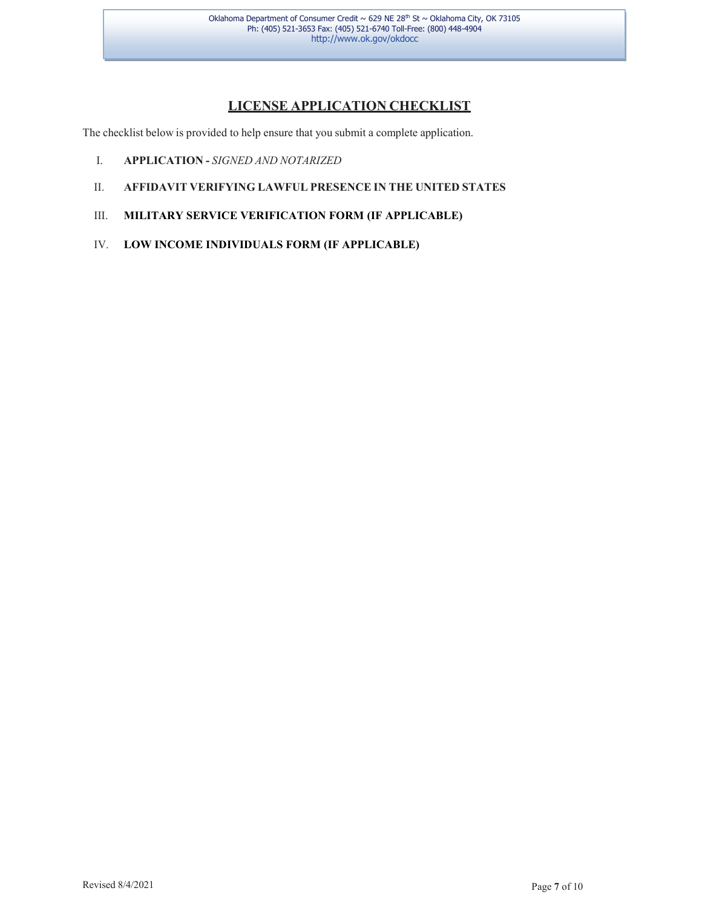## **LICENSE APPLICATION CHECKLIST**

The checklist below is provided to help ensure that you submit a complete application.

- I. **APPLICATION -** *SIGNED AND NOTARIZED*
- II. **AFFIDAVIT VERIFYING LAWFUL PRESENCE IN THE UNITED STATES**
- III. **MILITARY SERVICE VERIFICATION FORM (IF APPLICABLE)**
- IV. **LOW INCOME INDIVIDUALS FORM (IF APPLICABLE)**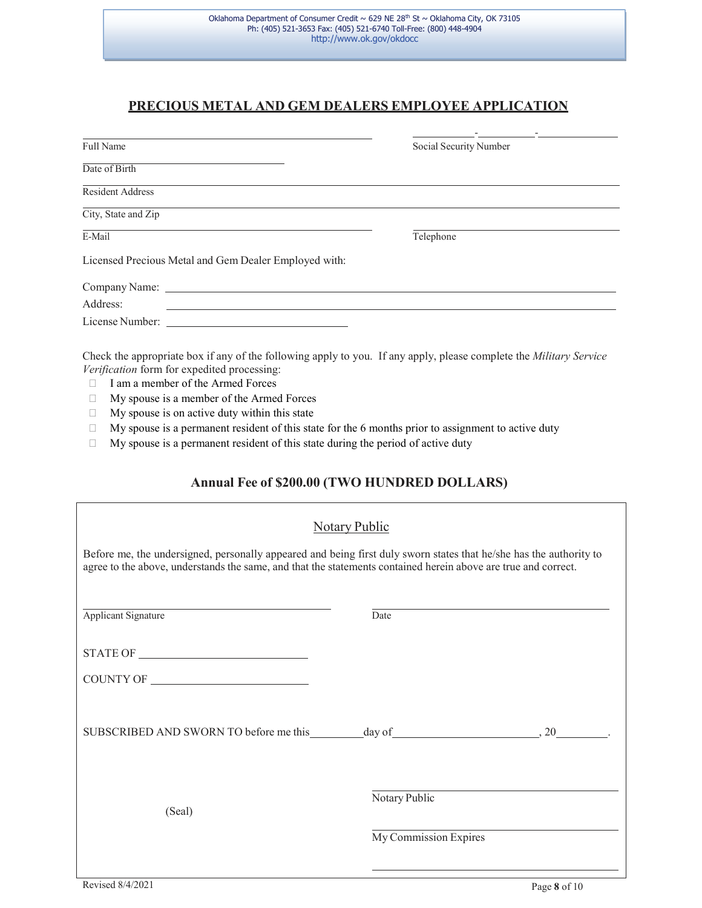## **PRECIOUS METAL AND GEM DEALERS EMPLOYEE APPLICATION**

<span id="page-7-0"></span>

| <b>Full Name</b>                                      | Social Security Number |
|-------------------------------------------------------|------------------------|
| Date of Birth                                         |                        |
| <b>Resident Address</b>                               |                        |
| City, State and Zip                                   |                        |
| E-Mail                                                | Telephone              |
| Licensed Precious Metal and Gem Dealer Employed with: |                        |
|                                                       |                        |
| Address:                                              |                        |
| License Number:                                       |                        |

Check the appropriate box if any of the following apply to you. If any apply, please complete the *Military Service Verification* form for expedited processing:

- I am a member of the Armed Forces
- My spouse is a member of the Armed Forces
- $\Box$  My spouse is on active duty within this state
- $\Box$  My spouse is a permanent resident of this state for the 6 months prior to assignment to active duty
- $\Box$  My spouse is a permanent resident of this state during the period of active duty

### **Annual Fee of \$200.00 (TWO HUNDRED DOLLARS)**

| <b>Notary Public</b>                                                                                                                                                                                                                 |                                        |  |
|--------------------------------------------------------------------------------------------------------------------------------------------------------------------------------------------------------------------------------------|----------------------------------------|--|
| Before me, the undersigned, personally appeared and being first duly sworn states that he/she has the authority to<br>agree to the above, understands the same, and that the statements contained herein above are true and correct. |                                        |  |
| Applicant Signature                                                                                                                                                                                                                  | Date                                   |  |
|                                                                                                                                                                                                                                      |                                        |  |
|                                                                                                                                                                                                                                      |                                        |  |
|                                                                                                                                                                                                                                      |                                        |  |
| (Seal)                                                                                                                                                                                                                               | Notary Public<br>My Commission Expires |  |
|                                                                                                                                                                                                                                      |                                        |  |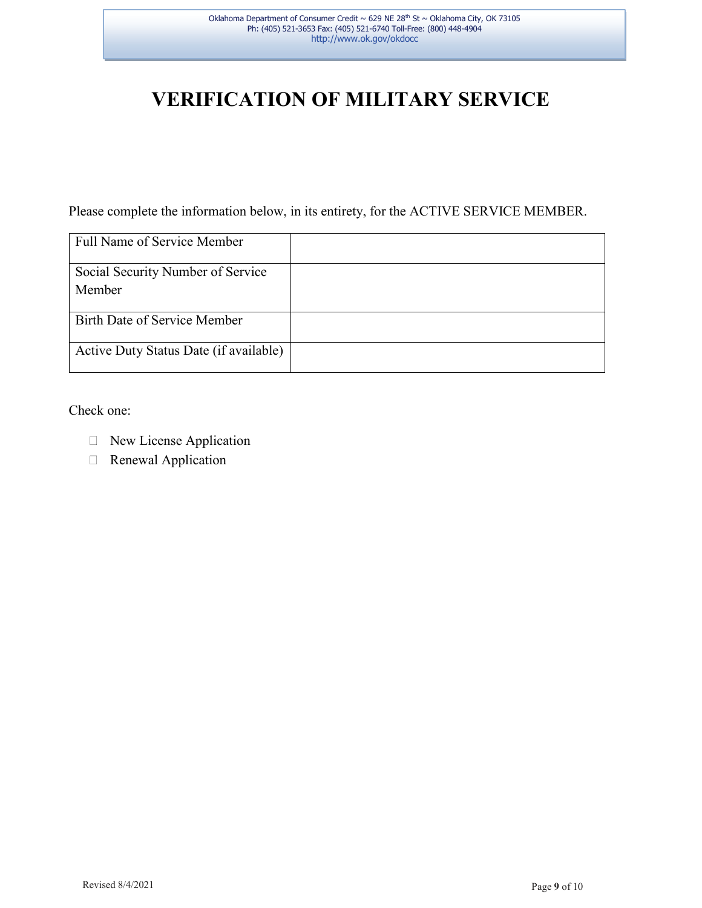# **VERIFICATION OF MILITARY SERVICE**

Please complete the information below, in its entirety, for the ACTIVE SERVICE MEMBER.

| <b>Full Name of Service Member</b>     |  |
|----------------------------------------|--|
| Social Security Number of Service      |  |
| Member                                 |  |
| Birth Date of Service Member           |  |
| Active Duty Status Date (if available) |  |

Check one:

- New License Application
- Renewal Application